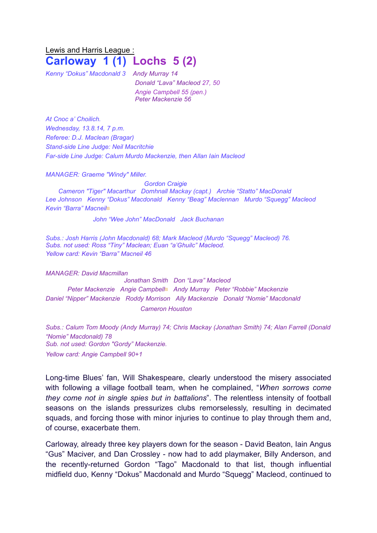## Lewis and Harris League : **Carloway 1 (1) Lochs 5 (2)**

*Kenny "Dokus" Macdonald 3 Andy Murray 14*

*Donald "Lava" Macleod 27, 50 Angie Campbell 55 (pen.) Peter Mackenzie 56*

*At Cnoc a' Choilich. Wednesday, 13.8.14, 7 p.m. Referee: D.J. Maclean (Bragar) Stand-side Line Judge: Neil Macritchie Far-side Line Judge: Calum Murdo Mackenzie, then Allan Iain Macleod*

*MANAGER: Graeme "Windy" Miller.* 

*Gordon Craigie Cameron "Tiger" Macarthur Domhnall Mackay (capt.) Archie "Statto" MacDonald Lee Johnson Kenny "Dokus" Macdonald Kenny "Beag" Maclennan Murdo "Squegg" Macleod Kevin "Barra" Macneil*▩

*John "Wee John" MacDonald Jack Buchanan* 

*Subs.: Josh Harris (John Macdonald) 68; Mark Macleod (Murdo "Squegg" Macleod) 76. Subs. not used: Ross "Tiny" Maclean; Euan "a'Ghuilc" Macleod. Yellow card: Kevin "Barra" Macneil 46* 

*MANAGER: David Macmillan Jonathan Smith Don "Lava" Macleod Peter Mackenzie Angie Campbell*▩ *Andy Murray Peter "Robbie" Mackenzie Daniel "Nipper" Mackenzie Roddy Morrison Ally Mackenzie Donald "Nomie" Macdonald Cameron Houston*

*Subs.: Calum Tom Moody (Andy Murray) 74; Chris Mackay (Jonathan Smith) 74; Alan Farrell (Donald "Nomie" Macdonald) 78 Sub. not used: Gordon "Gordy" Mackenzie. Yellow card: Angie Campbell 90+1*

Long-time Blues' fan, Will Shakespeare, clearly understood the misery associated with following a village football team, when he complained, "*When sorrows come they come not in single spies but in battalions*". The relentless intensity of football seasons on the islands pressurizes clubs remorselessly, resulting in decimated squads, and forcing those with minor injuries to continue to play through them and, of course, exacerbate them.

Carloway, already three key players down for the season - David Beaton, Iain Angus "Gus" Maciver, and Dan Crossley - now had to add playmaker, Billy Anderson, and the recently-returned Gordon "Tago" Macdonald to that list, though influential midfield duo, Kenny "Dokus" Macdonald and Murdo "Squegg" Macleod, continued to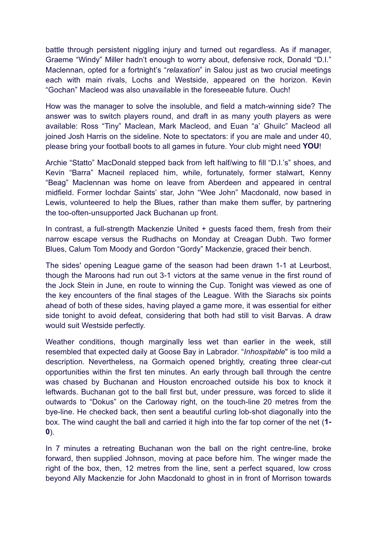battle through persistent niggling injury and turned out regardless. As if manager, Graeme "Windy" Miller hadn't enough to worry about, defensive rock, Donald "D.I." Maclennan, opted for a fortnight's "*relaxation*" in Salou just as two crucial meetings each with main rivals, Lochs and Westside, appeared on the horizon. Kevin "Gochan" Macleod was also unavailable in the foreseeable future. Ouch!

How was the manager to solve the insoluble, and field a match-winning side? The answer was to switch players round, and draft in as many youth players as were available: Ross "Tiny" Maclean, Mark Macleod, and Euan "a' Ghuilc" Macleod all joined Josh Harris on the sideline. Note to spectators: if you are male and under 40, please bring your football boots to all games in future. Your club might need **YOU**!

Archie "Statto" MacDonald stepped back from left half/wing to fill "D.I.'s" shoes, and Kevin "Barra" Macneil replaced him, while, fortunately, former stalwart, Kenny "Beag" Maclennan was home on leave from Aberdeen and appeared in central midfield. Former Iochdar Saints' star, John "Wee John" Macdonald, now based in Lewis, volunteered to help the Blues, rather than make them suffer, by partnering the too-often-unsupported Jack Buchanan up front.

In contrast, a full-strength Mackenzie United + guests faced them, fresh from their narrow escape versus the Rudhachs on Monday at Creagan Dubh. Two former Blues, Calum Tom Moody and Gordon "Gordy" Mackenzie, graced their bench.

The sides' opening League game of the season had been drawn 1-1 at Leurbost, though the Maroons had run out 3-1 victors at the same venue in the first round of the Jock Stein in June, en route to winning the Cup. Tonight was viewed as one of the key encounters of the final stages of the League. With the Siarachs six points ahead of both of these sides, having played a game more, it was essential for either side tonight to avoid defeat, considering that both had still to visit Barvas. A draw would suit Westside perfectly.

Weather conditions, though marginally less wet than earlier in the week, still resembled that expected daily at Goose Bay in Labrador. "*Inhospitable*" is too mild a description. Nevertheless, na Gormaich opened brightly, creating three clear-cut opportunities within the first ten minutes. An early through ball through the centre was chased by Buchanan and Houston encroached outside his box to knock it leftwards. Buchanan got to the ball first but, under pressure, was forced to slide it outwards to "Dokus" on the Carloway right, on the touch-line 20 metres from the bye-line. He checked back, then sent a beautiful curling lob-shot diagonally into the box. The wind caught the ball and carried it high into the far top corner of the net (**1- 0**).

In 7 minutes a retreating Buchanan won the ball on the right centre-line, broke forward, then supplied Johnson, moving at pace before him. The winger made the right of the box, then, 12 metres from the line, sent a perfect squared, low cross beyond Ally Mackenzie for John Macdonald to ghost in in front of Morrison towards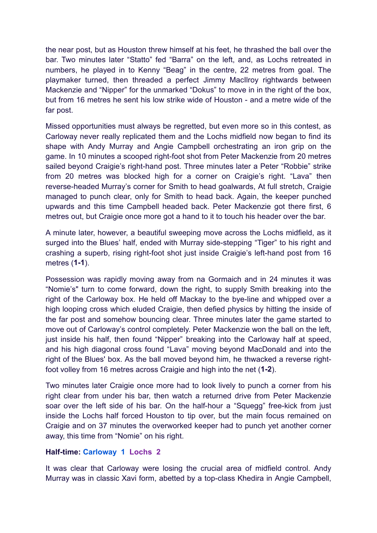the near post, but as Houston threw himself at his feet, he thrashed the ball over the bar. Two minutes later "Statto" fed "Barra" on the left, and, as Lochs retreated in numbers, he played in to Kenny "Beag" in the centre, 22 metres from goal. The playmaker turned, then threaded a perfect Jimmy MacIlroy rightwards between Mackenzie and "Nipper" for the unmarked "Dokus" to move in in the right of the box, but from 16 metres he sent his low strike wide of Houston - and a metre wide of the far post.

Missed opportunities must always be regretted, but even more so in this contest, as Carloway never really replicated them and the Lochs midfield now began to find its shape with Andy Murray and Angie Campbell orchestrating an iron grip on the game. In 10 minutes a scooped right-foot shot from Peter Mackenzie from 20 metres sailed beyond Craigie's right-hand post. Three minutes later a Peter "Robbie" strike from 20 metres was blocked high for a corner on Craigie's right. "Lava" then reverse-headed Murray's corner for Smith to head goalwards, At full stretch, Craigie managed to punch clear, only for Smith to head back. Again, the keeper punched upwards and this time Campbell headed back. Peter Mackenzie got there first, 6 metres out, but Craigie once more got a hand to it to touch his header over the bar.

A minute later, however, a beautiful sweeping move across the Lochs midfield, as it surged into the Blues' half, ended with Murray side-stepping "Tiger" to his right and crashing a superb, rising right-foot shot just inside Craigie's left-hand post from 16 metres (**1-1**).

Possession was rapidly moving away from na Gormaich and in 24 minutes it was "Nomie's" turn to come forward, down the right, to supply Smith breaking into the right of the Carloway box. He held off Mackay to the bye-line and whipped over a high looping cross which eluded Craigie, then defied physics by hitting the inside of the far post and somehow bouncing clear. Three minutes later the game started to move out of Carloway's control completely. Peter Mackenzie won the ball on the left, just inside his half, then found "Nipper" breaking into the Carloway half at speed, and his high diagonal cross found "Lava" moving beyond MacDonald and into the right of the Blues' box. As the ball moved beyond him, he thwacked a reverse rightfoot volley from 16 metres across Craigie and high into the net (**1-2**).

Two minutes later Craigie once more had to look lively to punch a corner from his right clear from under his bar, then watch a returned drive from Peter Mackenzie soar over the left side of his bar. On the half-hour a "Squegg" free-kick from just inside the Lochs half forced Houston to tip over, but the main focus remained on Craigie and on 37 minutes the overworked keeper had to punch yet another corner away, this time from "Nomie" on his right.

## **Half-time: Carloway 1 Lochs 2**

It was clear that Carloway were losing the crucial area of midfield control. Andy Murray was in classic Xavi form, abetted by a top-class Khedira in Angie Campbell,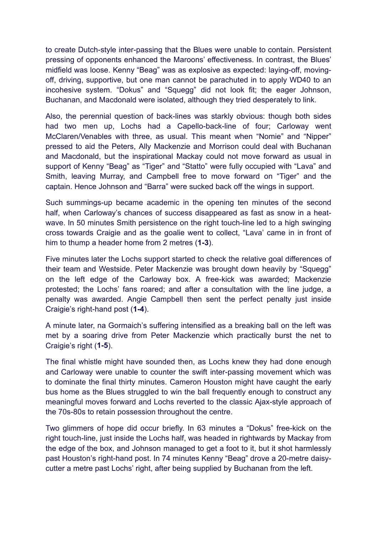to create Dutch-style inter-passing that the Blues were unable to contain. Persistent pressing of opponents enhanced the Maroons' effectiveness. In contrast, the Blues' midfield was loose. Kenny "Beag" was as explosive as expected: laying-off, movingoff, driving, supportive, but one man cannot be parachuted in to apply WD40 to an incohesive system. "Dokus" and "Squegg" did not look fit; the eager Johnson, Buchanan, and Macdonald were isolated, although they tried desperately to link.

Also, the perennial question of back-lines was starkly obvious: though both sides had two men up, Lochs had a Capello-back-line of four; Carloway went McClaren/Venables with three, as usual. This meant when "Nomie" and "Nipper" pressed to aid the Peters, Ally Mackenzie and Morrison could deal with Buchanan and Macdonald, but the inspirational Mackay could not move forward as usual in support of Kenny "Beag" as "Tiger" and "Statto" were fully occupied with "Lava" and Smith, leaving Murray, and Campbell free to move forward on "Tiger" and the captain. Hence Johnson and "Barra" were sucked back off the wings in support.

Such summings-up became academic in the opening ten minutes of the second half, when Carloway's chances of success disappeared as fast as snow in a heatwave. In 50 minutes Smith persistence on the right touch-line led to a high swinging cross towards Craigie and as the goalie went to collect, "Lava' came in in front of him to thump a header home from 2 metres (**1-3**).

Five minutes later the Lochs support started to check the relative goal differences of their team and Westside. Peter Mackenzie was brought down heavily by "Squegg" on the left edge of the Carloway box. A free-kick was awarded; Mackenzie protested; the Lochs' fans roared; and after a consultation with the line judge, a penalty was awarded. Angie Campbell then sent the perfect penalty just inside Craigie's right-hand post (**1-4**).

A minute later, na Gormaich's suffering intensified as a breaking ball on the left was met by a soaring drive from Peter Mackenzie which practically burst the net to Craigie's right (**1-5**).

The final whistle might have sounded then, as Lochs knew they had done enough and Carloway were unable to counter the swift inter-passing movement which was to dominate the final thirty minutes. Cameron Houston might have caught the early bus home as the Blues struggled to win the ball frequently enough to construct any meaningful moves forward and Lochs reverted to the classic Ajax-style approach of the 70s-80s to retain possession throughout the centre.

Two glimmers of hope did occur briefly. In 63 minutes a "Dokus" free-kick on the right touch-line, just inside the Lochs half, was headed in rightwards by Mackay from the edge of the box, and Johnson managed to get a foot to it, but it shot harmlessly past Houston's right-hand post. In 74 minutes Kenny "Beag" drove a 20-metre daisycutter a metre past Lochs' right, after being supplied by Buchanan from the left.